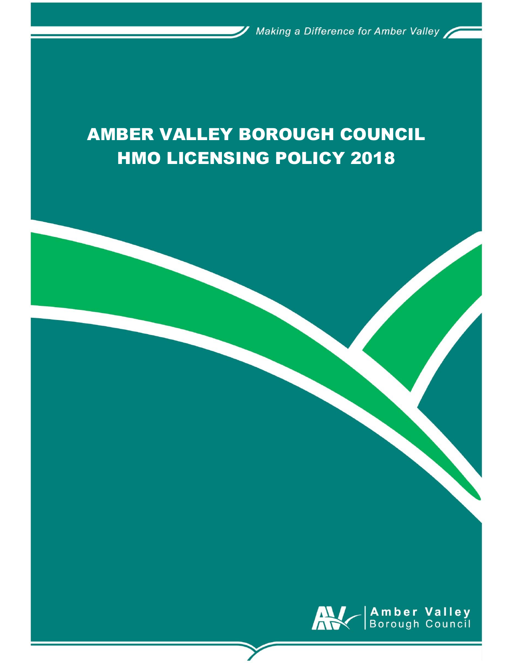# AMBER VALLEY BOROUGH COUNCIL HMO LICENSING POLICY 2018

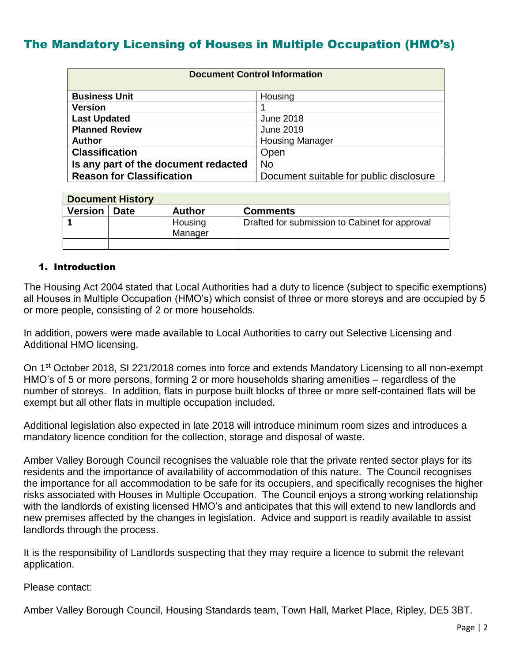## The Mandatory Licensing of Houses in Multiple Occupation (HMO's)

| <b>Document Control Information</b>  |                                         |
|--------------------------------------|-----------------------------------------|
|                                      |                                         |
| <b>Business Unit</b>                 | Housing                                 |
| <b>Version</b>                       |                                         |
| <b>Last Updated</b>                  | <b>June 2018</b>                        |
| <b>Planned Review</b>                | <b>June 2019</b>                        |
| <b>Author</b>                        | <b>Housing Manager</b>                  |
| <b>Classification</b>                | Open                                    |
| Is any part of the document redacted | No                                      |
| <b>Reason for Classification</b>     | Document suitable for public disclosure |

| <b>Document History</b> |      |               |                                                |
|-------------------------|------|---------------|------------------------------------------------|
| Version                 | Date | <b>Author</b> | <b>Comments</b>                                |
|                         |      | Housing       | Drafted for submission to Cabinet for approval |
|                         |      | Manager       |                                                |
|                         |      |               |                                                |

#### 1. Introduction

The Housing Act 2004 stated that Local Authorities had a duty to licence (subject to specific exemptions) all Houses in Multiple Occupation (HMO's) which consist of three or more storeys and are occupied by 5 or more people, consisting of 2 or more households.

In addition, powers were made available to Local Authorities to carry out Selective Licensing and Additional HMO licensing.

On 1<sup>st</sup> October 2018, SI 221/2018 comes into force and extends Mandatory Licensing to all non-exempt HMO's of 5 or more persons, forming 2 or more households sharing amenities – regardless of the number of storeys. In addition, flats in purpose built blocks of three or more self-contained flats will be exempt but all other flats in multiple occupation included.

Additional legislation also expected in late 2018 will introduce minimum room sizes and introduces a mandatory licence condition for the collection, storage and disposal of waste.

Amber Valley Borough Council recognises the valuable role that the private rented sector plays for its residents and the importance of availability of accommodation of this nature. The Council recognises the importance for all accommodation to be safe for its occupiers, and specifically recognises the higher risks associated with Houses in Multiple Occupation. The Council enjoys a strong working relationship with the landlords of existing licensed HMO's and anticipates that this will extend to new landlords and new premises affected by the changes in legislation. Advice and support is readily available to assist landlords through the process.

It is the responsibility of Landlords suspecting that they may require a licence to submit the relevant application.

Please contact:

Amber Valley Borough Council, Housing Standards team, Town Hall, Market Place, Ripley, DE5 3BT.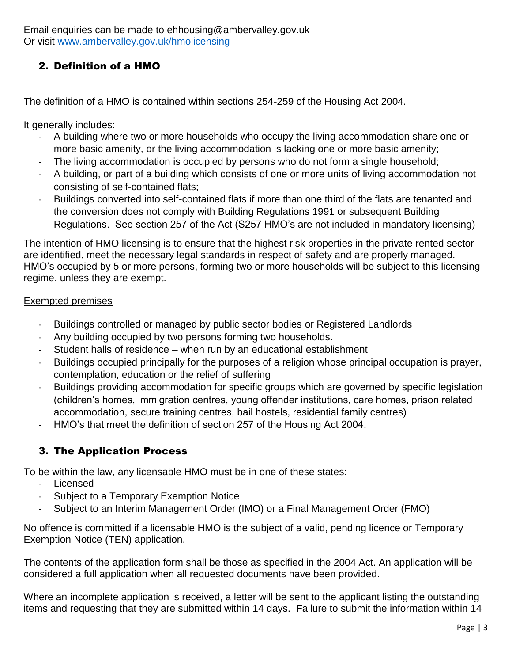Email enquiries can be made to ehhousing@ambervalley.gov.uk Or visit [www.ambervalley.gov.uk/hmolicensing](http://www.ambervalley.gov.uk/hmolicensing)

#### 2. Definition of a HMO

The definition of a HMO is contained within sections 254-259 of the Housing Act 2004.

It generally includes:

- A building where two or more households who occupy the living accommodation share one or more basic amenity, or the living accommodation is lacking one or more basic amenity;
- The living accommodation is occupied by persons who do not form a single household;
- A building, or part of a building which consists of one or more units of living accommodation not consisting of self-contained flats;
- Buildings converted into self-contained flats if more than one third of the flats are tenanted and the conversion does not comply with Building Regulations 1991 or subsequent Building Regulations. See section 257 of the Act (S257 HMO's are not included in mandatory licensing)

The intention of HMO licensing is to ensure that the highest risk properties in the private rented sector are identified, meet the necessary legal standards in respect of safety and are properly managed. HMO's occupied by 5 or more persons, forming two or more households will be subject to this licensing regime, unless they are exempt.

#### Exempted premises

- Buildings controlled or managed by public sector bodies or Registered Landlords
- Any building occupied by two persons forming two households.
- Student halls of residence when run by an educational establishment
- Buildings occupied principally for the purposes of a religion whose principal occupation is prayer, contemplation, education or the relief of suffering
- Buildings providing accommodation for specific groups which are governed by specific legislation (children's homes, immigration centres, young offender institutions, care homes, prison related accommodation, secure training centres, bail hostels, residential family centres)
- HMO's that meet the definition of section 257 of the Housing Act 2004.

### 3. The Application Process

To be within the law, any licensable HMO must be in one of these states:

- Licensed
- Subject to a Temporary Exemption Notice
- Subject to an Interim Management Order (IMO) or a Final Management Order (FMO)

No offence is committed if a licensable HMO is the subject of a valid, pending licence or Temporary Exemption Notice (TEN) application.

The contents of the application form shall be those as specified in the 2004 Act. An application will be considered a full application when all requested documents have been provided.

Where an incomplete application is received, a letter will be sent to the applicant listing the outstanding items and requesting that they are submitted within 14 days. Failure to submit the information within 14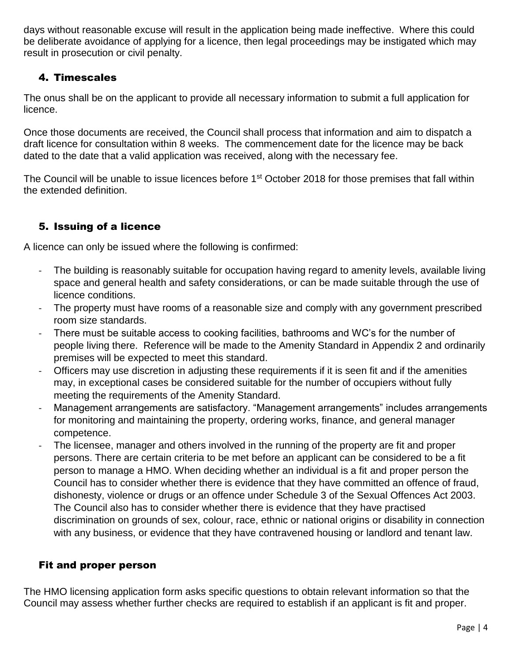days without reasonable excuse will result in the application being made ineffective. Where this could be deliberate avoidance of applying for a licence, then legal proceedings may be instigated which may result in prosecution or civil penalty.

#### 4. Timescales

The onus shall be on the applicant to provide all necessary information to submit a full application for licence.

Once those documents are received, the Council shall process that information and aim to dispatch a draft licence for consultation within 8 weeks. The commencement date for the licence may be back dated to the date that a valid application was received, along with the necessary fee.

The Council will be unable to issue licences before 1<sup>st</sup> October 2018 for those premises that fall within the extended definition.

### 5. Issuing of a licence

A licence can only be issued where the following is confirmed:

- The building is reasonably suitable for occupation having regard to amenity levels, available living space and general health and safety considerations, or can be made suitable through the use of licence conditions.
- The property must have rooms of a reasonable size and comply with any government prescribed room size standards.
- There must be suitable access to cooking facilities, bathrooms and WC's for the number of people living there. Reference will be made to the Amenity Standard in Appendix 2 and ordinarily premises will be expected to meet this standard.
- Officers may use discretion in adjusting these requirements if it is seen fit and if the amenities may, in exceptional cases be considered suitable for the number of occupiers without fully meeting the requirements of the Amenity Standard.
- Management arrangements are satisfactory. "Management arrangements" includes arrangements for monitoring and maintaining the property, ordering works, finance, and general manager competence.
- The licensee, manager and others involved in the running of the property are fit and proper persons. There are certain criteria to be met before an applicant can be considered to be a fit person to manage a HMO. When deciding whether an individual is a fit and proper person the Council has to consider whether there is evidence that they have committed an offence of fraud, dishonesty, violence or drugs or an offence under Schedule 3 of the Sexual Offences Act 2003. The Council also has to consider whether there is evidence that they have practised discrimination on grounds of sex, colour, race, ethnic or national origins or disability in connection with any business, or evidence that they have contravened housing or landlord and tenant law.

#### Fit and proper person

The HMO licensing application form asks specific questions to obtain relevant information so that the Council may assess whether further checks are required to establish if an applicant is fit and proper.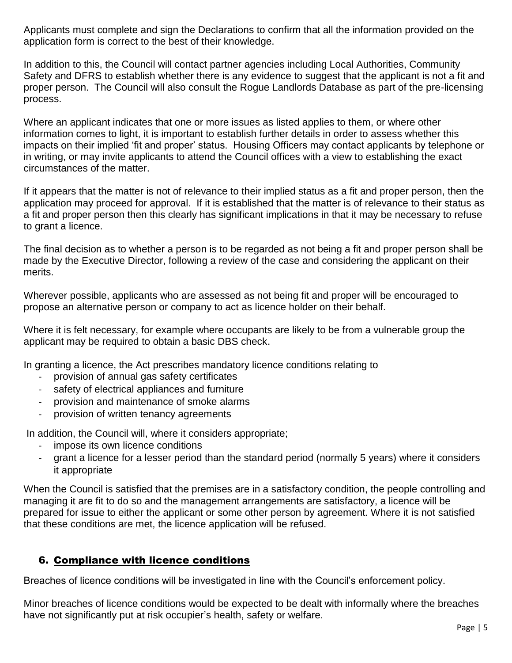Applicants must complete and sign the Declarations to confirm that all the information provided on the application form is correct to the best of their knowledge.

In addition to this, the Council will contact partner agencies including Local Authorities, Community Safety and DFRS to establish whether there is any evidence to suggest that the applicant is not a fit and proper person. The Council will also consult the Rogue Landlords Database as part of the pre-licensing process.

Where an applicant indicates that one or more issues as listed applies to them, or where other information comes to light, it is important to establish further details in order to assess whether this impacts on their implied 'fit and proper' status. Housing Officers may contact applicants by telephone or in writing, or may invite applicants to attend the Council offices with a view to establishing the exact circumstances of the matter.

If it appears that the matter is not of relevance to their implied status as a fit and proper person, then the application may proceed for approval. If it is established that the matter is of relevance to their status as a fit and proper person then this clearly has significant implications in that it may be necessary to refuse to grant a licence.

The final decision as to whether a person is to be regarded as not being a fit and proper person shall be made by the Executive Director, following a review of the case and considering the applicant on their merits.

Wherever possible, applicants who are assessed as not being fit and proper will be encouraged to propose an alternative person or company to act as licence holder on their behalf.

Where it is felt necessary, for example where occupants are likely to be from a vulnerable group the applicant may be required to obtain a basic DBS check.

In granting a licence, the Act prescribes mandatory licence conditions relating to

- provision of annual gas safety certificates
- safety of electrical appliances and furniture
- provision and maintenance of smoke alarms
- provision of written tenancy agreements

In addition, the Council will, where it considers appropriate;

- impose its own licence conditions
- grant a licence for a lesser period than the standard period (normally 5 years) where it considers it appropriate

When the Council is satisfied that the premises are in a satisfactory condition, the people controlling and managing it are fit to do so and the management arrangements are satisfactory, a licence will be prepared for issue to either the applicant or some other person by agreement. Where it is not satisfied that these conditions are met, the licence application will be refused.

#### 6. Compliance with licence conditions

Breaches of licence conditions will be investigated in line with the Council's enforcement policy.

Minor breaches of licence conditions would be expected to be dealt with informally where the breaches have not significantly put at risk occupier's health, safety or welfare.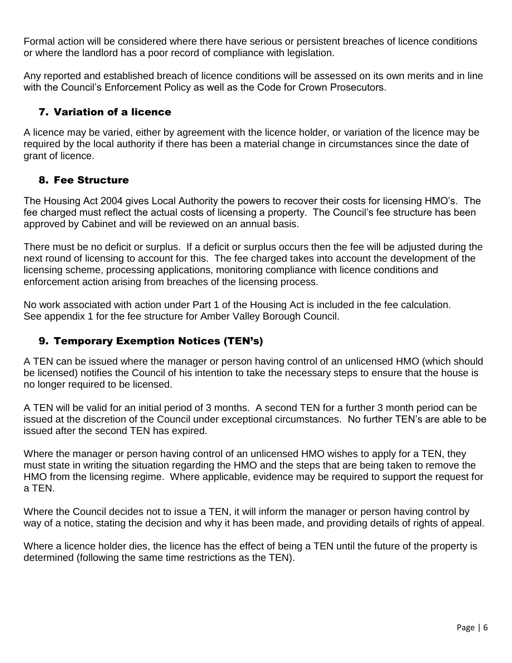Formal action will be considered where there have serious or persistent breaches of licence conditions or where the landlord has a poor record of compliance with legislation.

Any reported and established breach of licence conditions will be assessed on its own merits and in line with the Council's Enforcement Policy as well as the Code for Crown Prosecutors.

#### 7. Variation of a licence

A licence may be varied, either by agreement with the licence holder, or variation of the licence may be required by the local authority if there has been a material change in circumstances since the date of grant of licence.

#### 8. Fee Structure

The Housing Act 2004 gives Local Authority the powers to recover their costs for licensing HMO's. The fee charged must reflect the actual costs of licensing a property. The Council's fee structure has been approved by Cabinet and will be reviewed on an annual basis.

There must be no deficit or surplus. If a deficit or surplus occurs then the fee will be adjusted during the next round of licensing to account for this. The fee charged takes into account the development of the licensing scheme, processing applications, monitoring compliance with licence conditions and enforcement action arising from breaches of the licensing process.

No work associated with action under Part 1 of the Housing Act is included in the fee calculation. See appendix 1 for the fee structure for Amber Valley Borough Council.

#### 9. Temporary Exemption Notices (TEN's)

A TEN can be issued where the manager or person having control of an unlicensed HMO (which should be licensed) notifies the Council of his intention to take the necessary steps to ensure that the house is no longer required to be licensed.

A TEN will be valid for an initial period of 3 months. A second TEN for a further 3 month period can be issued at the discretion of the Council under exceptional circumstances. No further TEN's are able to be issued after the second TEN has expired.

Where the manager or person having control of an unlicensed HMO wishes to apply for a TEN, they must state in writing the situation regarding the HMO and the steps that are being taken to remove the HMO from the licensing regime. Where applicable, evidence may be required to support the request for a TEN.

Where the Council decides not to issue a TEN, it will inform the manager or person having control by way of a notice, stating the decision and why it has been made, and providing details of rights of appeal.

Where a licence holder dies, the licence has the effect of being a TEN until the future of the property is determined (following the same time restrictions as the TEN).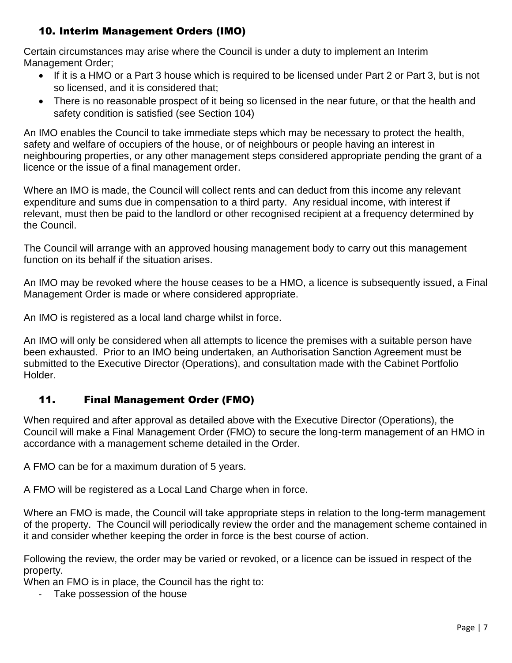### 10. Interim Management Orders (IMO)

Certain circumstances may arise where the Council is under a duty to implement an Interim Management Order;

- If it is a HMO or a Part 3 house which is required to be licensed under Part 2 or Part 3, but is not so licensed, and it is considered that;
- There is no reasonable prospect of it being so licensed in the near future, or that the health and safety condition is satisfied (see Section 104)

An IMO enables the Council to take immediate steps which may be necessary to protect the health, safety and welfare of occupiers of the house, or of neighbours or people having an interest in neighbouring properties, or any other management steps considered appropriate pending the grant of a licence or the issue of a final management order.

Where an IMO is made, the Council will collect rents and can deduct from this income any relevant expenditure and sums due in compensation to a third party. Any residual income, with interest if relevant, must then be paid to the landlord or other recognised recipient at a frequency determined by the Council.

The Council will arrange with an approved housing management body to carry out this management function on its behalf if the situation arises.

An IMO may be revoked where the house ceases to be a HMO, a licence is subsequently issued, a Final Management Order is made or where considered appropriate.

An IMO is registered as a local land charge whilst in force.

An IMO will only be considered when all attempts to licence the premises with a suitable person have been exhausted. Prior to an IMO being undertaken, an Authorisation Sanction Agreement must be submitted to the Executive Director (Operations), and consultation made with the Cabinet Portfolio Holder.

#### 11. Final Management Order (FMO)

When required and after approval as detailed above with the Executive Director (Operations), the Council will make a Final Management Order (FMO) to secure the long-term management of an HMO in accordance with a management scheme detailed in the Order.

A FMO can be for a maximum duration of 5 years.

A FMO will be registered as a Local Land Charge when in force.

Where an FMO is made, the Council will take appropriate steps in relation to the long-term management of the property. The Council will periodically review the order and the management scheme contained in it and consider whether keeping the order in force is the best course of action.

Following the review, the order may be varied or revoked, or a licence can be issued in respect of the property.

When an FMO is in place, the Council has the right to:

- Take possession of the house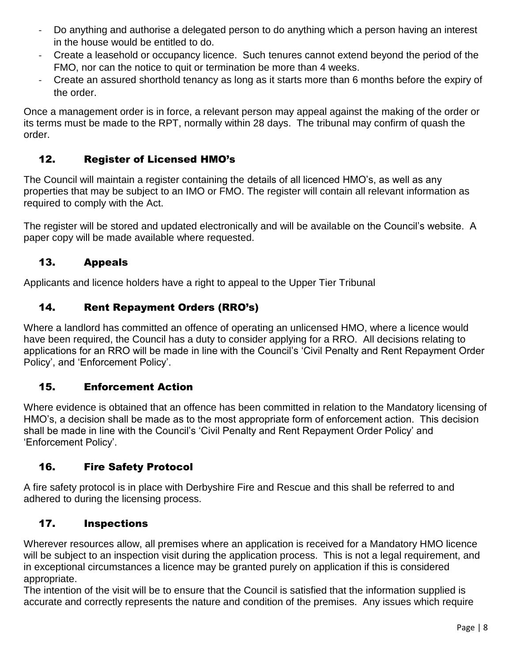- Do anything and authorise a delegated person to do anything which a person having an interest in the house would be entitled to do.
- Create a leasehold or occupancy licence. Such tenures cannot extend beyond the period of the FMO, nor can the notice to quit or termination be more than 4 weeks.
- Create an assured shorthold tenancy as long as it starts more than 6 months before the expiry of the order.

Once a management order is in force, a relevant person may appeal against the making of the order or its terms must be made to the RPT, normally within 28 days. The tribunal may confirm of quash the order.

#### 12. Register of Licensed HMO's

The Council will maintain a register containing the details of all licenced HMO's, as well as any properties that may be subject to an IMO or FMO. The register will contain all relevant information as required to comply with the Act.

The register will be stored and updated electronically and will be available on the Council's website. A paper copy will be made available where requested.

#### 13. Appeals

Applicants and licence holders have a right to appeal to the Upper Tier Tribunal

### 14. Rent Repayment Orders (RRO's)

Where a landlord has committed an offence of operating an unlicensed HMO, where a licence would have been required, the Council has a duty to consider applying for a RRO. All decisions relating to applications for an RRO will be made in line with the Council's 'Civil Penalty and Rent Repayment Order Policy', and 'Enforcement Policy'.

#### 15. Enforcement Action

Where evidence is obtained that an offence has been committed in relation to the Mandatory licensing of HMO's, a decision shall be made as to the most appropriate form of enforcement action. This decision shall be made in line with the Council's 'Civil Penalty and Rent Repayment Order Policy' and 'Enforcement Policy'.

#### 16. Fire Safety Protocol

A fire safety protocol is in place with Derbyshire Fire and Rescue and this shall be referred to and adhered to during the licensing process.

#### 17. Inspections

Wherever resources allow, all premises where an application is received for a Mandatory HMO licence will be subject to an inspection visit during the application process. This is not a legal requirement, and in exceptional circumstances a licence may be granted purely on application if this is considered appropriate.

The intention of the visit will be to ensure that the Council is satisfied that the information supplied is accurate and correctly represents the nature and condition of the premises. Any issues which require